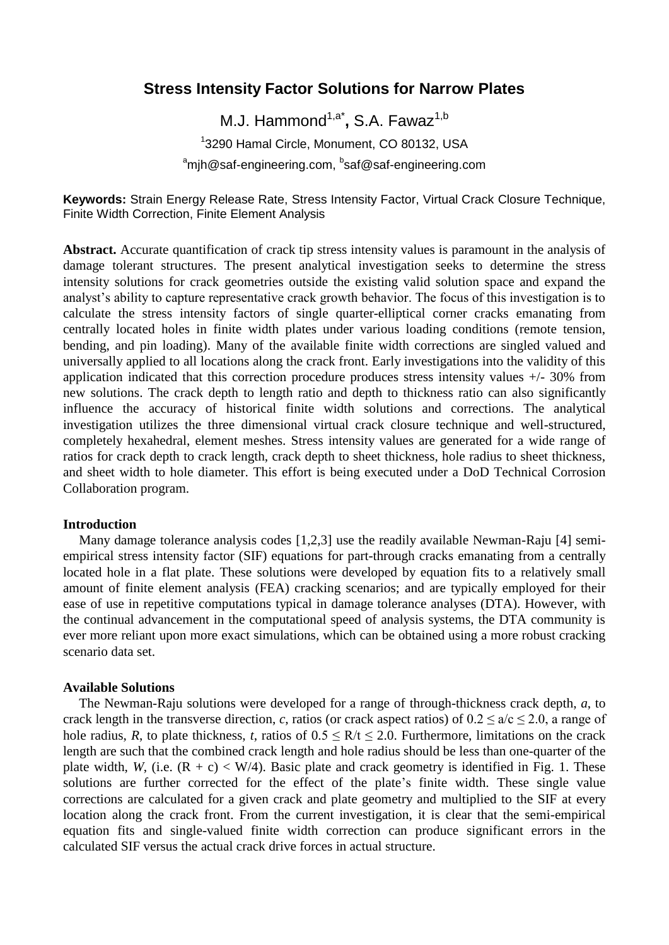# **Stress Intensity Factor Solutions for Narrow Plates**

M.J. Hammond<sup>1,a\*</sup>, S.A. Fawaz<sup>1,b</sup>

<sup>1</sup>3290 Hamal Circle, Monument, CO 80132, USA  $\mathrm{^a}$ mjh@saf-engineering.com,  $\mathrm{^b}$ saf@saf-engineering.com

**Keywords:** Strain Energy Release Rate, Stress Intensity Factor, Virtual Crack Closure Technique, Finite Width Correction, Finite Element Analysis

**Abstract.** Accurate quantification of crack tip stress intensity values is paramount in the analysis of damage tolerant structures. The present analytical investigation seeks to determine the stress intensity solutions for crack geometries outside the existing valid solution space and expand the analyst's ability to capture representative crack growth behavior. The focus of this investigation is to calculate the stress intensity factors of single quarter-elliptical corner cracks emanating from centrally located holes in finite width plates under various loading conditions (remote tension, bending, and pin loading). Many of the available finite width corrections are singled valued and universally applied to all locations along the crack front. Early investigations into the validity of this application indicated that this correction procedure produces stress intensity values +/- 30% from new solutions. The crack depth to length ratio and depth to thickness ratio can also significantly influence the accuracy of historical finite width solutions and corrections. The analytical investigation utilizes the three dimensional virtual crack closure technique and well-structured, completely hexahedral, element meshes. Stress intensity values are generated for a wide range of ratios for crack depth to crack length, crack depth to sheet thickness, hole radius to sheet thickness, and sheet width to hole diameter. This effort is being executed under a DoD Technical Corrosion Collaboration program.

## **Introduction**

Many damage tolerance analysis codes [1,2,3] use the readily available Newman-Raju [4] semiempirical stress intensity factor (SIF) equations for part-through cracks emanating from a centrally located hole in a flat plate. These solutions were developed by equation fits to a relatively small amount of finite element analysis (FEA) cracking scenarios; and are typically employed for their ease of use in repetitive computations typical in damage tolerance analyses (DTA). However, with the continual advancement in the computational speed of analysis systems, the DTA community is ever more reliant upon more exact simulations, which can be obtained using a more robust cracking scenario data set.

## **Available Solutions**

The Newman-Raju solutions were developed for a range of through-thickness crack depth, *a*, to crack length in the transverse direction, *c*, ratios (or crack aspect ratios) of  $0.2 \le a/c \le 2.0$ , a range of hole radius, *R*, to plate thickness, *t*, ratios of  $0.5 \le R/t \le 2.0$ . Furthermore, limitations on the crack length are such that the combined crack length and hole radius should be less than one-quarter of the plate width, *W*, (i.e.  $(R + c) < W/4$ ). Basic plate and crack geometry is identified in Fig. 1. These solutions are further corrected for the effect of the plate's finite width. These single value corrections are calculated for a given crack and plate geometry and multiplied to the SIF at every location along the crack front. From the current investigation, it is clear that the semi-empirical equation fits and single-valued finite width correction can produce significant errors in the calculated SIF versus the actual crack drive forces in actual structure.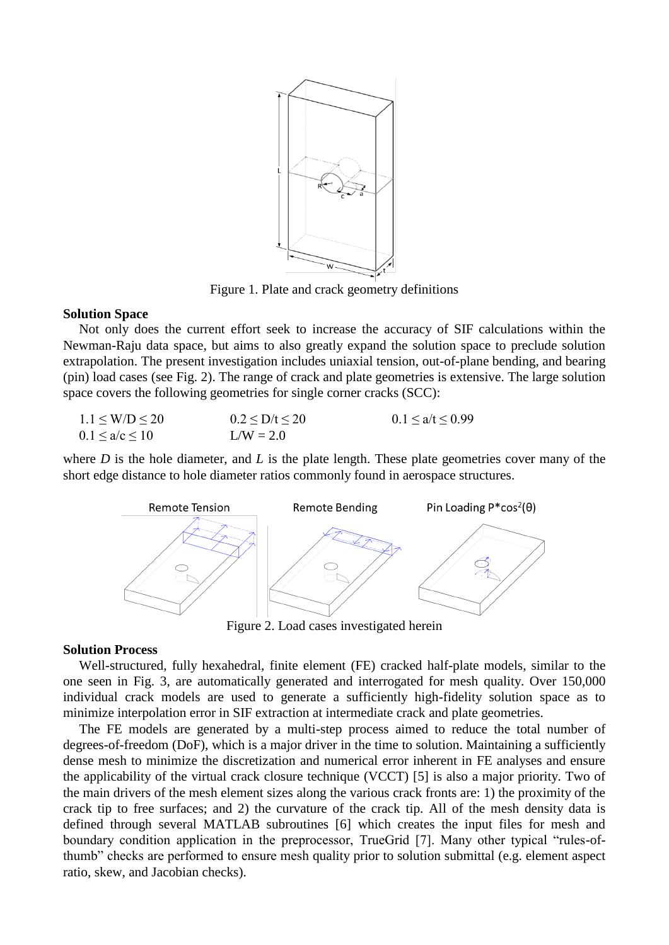

Figure 1. Plate and crack geometry definitions

### **Solution Space**

Not only does the current effort seek to increase the accuracy of SIF calculations within the Newman-Raju data space, but aims to also greatly expand the solution space to preclude solution extrapolation. The present investigation includes uniaxial tension, out-of-plane bending, and bearing (pin) load cases (see Fig. 2). The range of crack and plate geometries is extensive. The large solution space covers the following geometries for single corner cracks (SCC):

| $1.1 \le W/D \le 20$ | 0.2 < D/t < 20 | $0.1 \le a/t \le 0.99$ |
|----------------------|----------------|------------------------|
| $0.1 \le a/c \le 10$ | $L/W = 2.0$    |                        |

where *D* is the hole diameter, and *L* is the plate length. These plate geometries cover many of the short edge distance to hole diameter ratios commonly found in aerospace structures.



Figure 2. Load cases investigated herein

## **Solution Process**

Well-structured, fully hexahedral, finite element (FE) cracked half-plate models, similar to the one seen in Fig. 3, are automatically generated and interrogated for mesh quality. Over 150,000 individual crack models are used to generate a sufficiently high-fidelity solution space as to minimize interpolation error in SIF extraction at intermediate crack and plate geometries.

The FE models are generated by a multi-step process aimed to reduce the total number of degrees-of-freedom (DoF), which is a major driver in the time to solution. Maintaining a sufficiently dense mesh to minimize the discretization and numerical error inherent in FE analyses and ensure the applicability of the virtual crack closure technique (VCCT) [5] is also a major priority. Two of the main drivers of the mesh element sizes along the various crack fronts are: 1) the proximity of the crack tip to free surfaces; and 2) the curvature of the crack tip. All of the mesh density data is defined through several MATLAB subroutines [6] which creates the input files for mesh and boundary condition application in the preprocessor, TrueGrid [7]. Many other typical "rules-ofthumb" checks are performed to ensure mesh quality prior to solution submittal (e.g. element aspect ratio, skew, and Jacobian checks).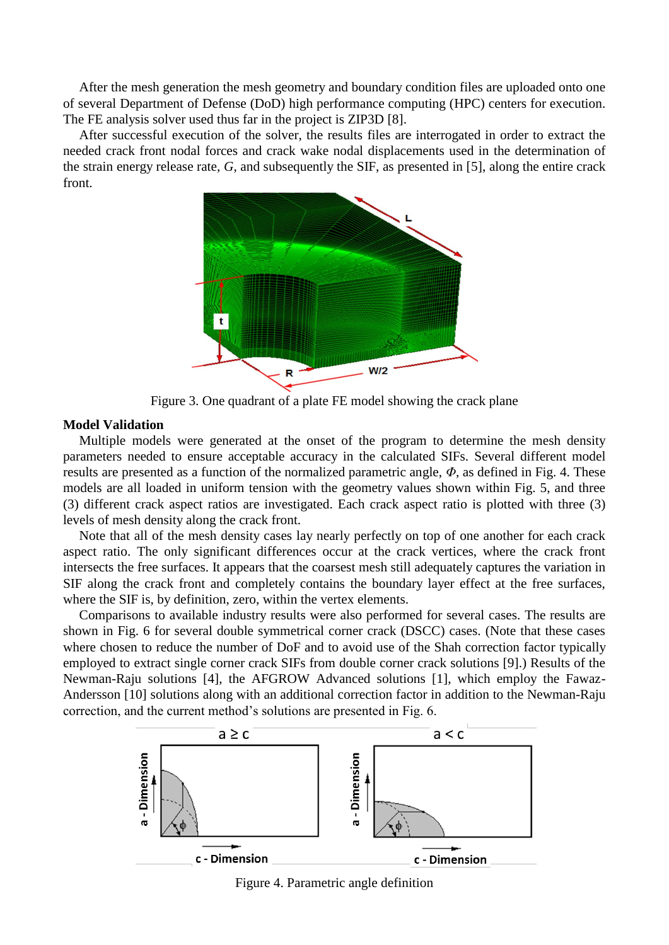After the mesh generation the mesh geometry and boundary condition files are uploaded onto one of several Department of Defense (DoD) high performance computing (HPC) centers for execution. The FE analysis solver used thus far in the project is ZIP3D [8].

After successful execution of the solver, the results files are interrogated in order to extract the needed crack front nodal forces and crack wake nodal displacements used in the determination of the strain energy release rate, *G*, and subsequently the SIF, as presented in [5], along the entire crack front.



Figure 3. One quadrant of a plate FE model showing the crack plane

## **Model Validation**

Multiple models were generated at the onset of the program to determine the mesh density parameters needed to ensure acceptable accuracy in the calculated SIFs. Several different model results are presented as a function of the normalized parametric angle, *Φ*, as defined in Fig. 4. These models are all loaded in uniform tension with the geometry values shown within Fig. 5, and three (3) different crack aspect ratios are investigated. Each crack aspect ratio is plotted with three (3) levels of mesh density along the crack front.

Note that all of the mesh density cases lay nearly perfectly on top of one another for each crack aspect ratio. The only significant differences occur at the crack vertices, where the crack front intersects the free surfaces. It appears that the coarsest mesh still adequately captures the variation in SIF along the crack front and completely contains the boundary layer effect at the free surfaces, where the SIF is, by definition, zero, within the vertex elements.

Comparisons to available industry results were also performed for several cases. The results are shown in Fig. 6 for several double symmetrical corner crack (DSCC) cases. (Note that these cases where chosen to reduce the number of DoF and to avoid use of the Shah correction factor typically employed to extract single corner crack SIFs from double corner crack solutions [9].) Results of the Newman-Raju solutions [4], the AFGROW Advanced solutions [1], which employ the Fawaz-Andersson [10] solutions along with an additional correction factor in addition to the Newman-Raju correction, and the current method's solutions are presented in Fig. 6.



Figure 4. Parametric angle definition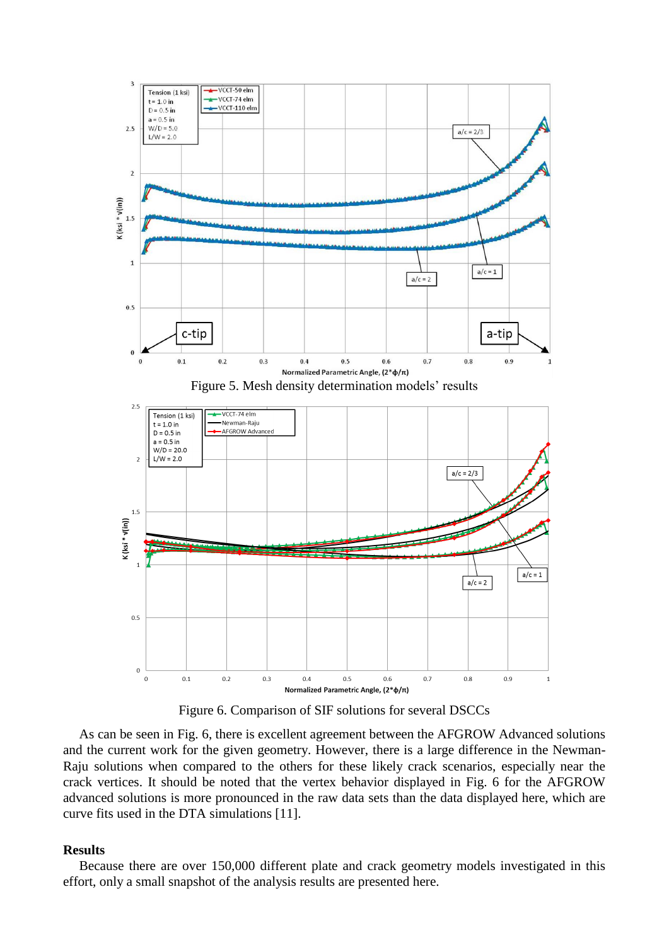

Figure 6. Comparison of SIF solutions for several DSCCs

As can be seen in Fig. 6, there is excellent agreement between the AFGROW Advanced solutions and the current work for the given geometry. However, there is a large difference in the Newman-Raju solutions when compared to the others for these likely crack scenarios, especially near the crack vertices. It should be noted that the vertex behavior displayed in Fig. 6 for the AFGROW advanced solutions is more pronounced in the raw data sets than the data displayed here, which are curve fits used in the DTA simulations [11].

### **Results**

Because there are over 150,000 different plate and crack geometry models investigated in this effort, only a small snapshot of the analysis results are presented here.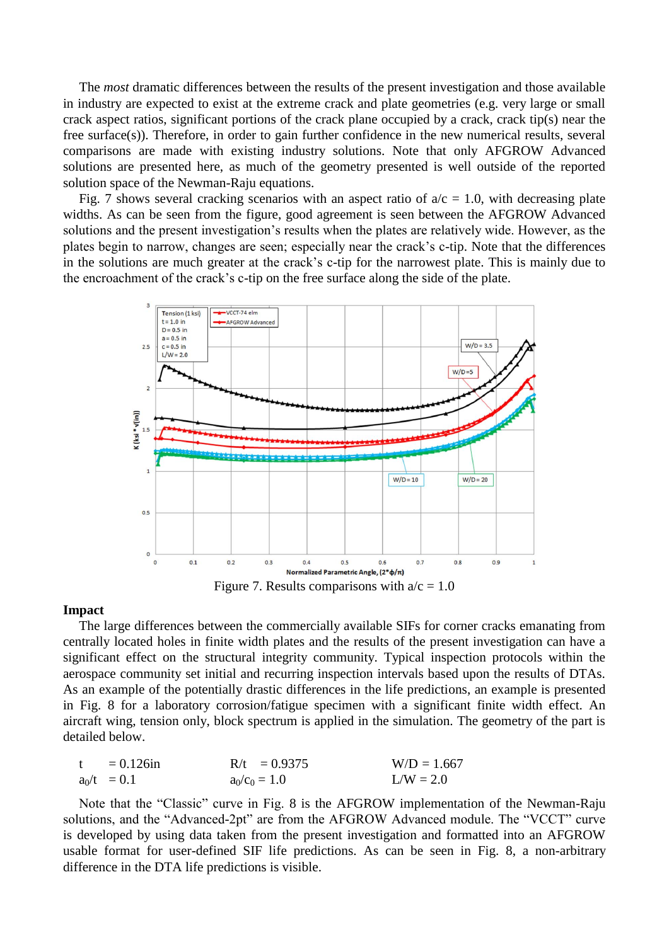The *most* dramatic differences between the results of the present investigation and those available in industry are expected to exist at the extreme crack and plate geometries (e.g. very large or small crack aspect ratios, significant portions of the crack plane occupied by a crack, crack tip(s) near the free surface(s)). Therefore, in order to gain further confidence in the new numerical results, several comparisons are made with existing industry solutions. Note that only AFGROW Advanced solutions are presented here, as much of the geometry presented is well outside of the reported solution space of the Newman-Raju equations.

Fig. 7 shows several cracking scenarios with an aspect ratio of  $a/c = 1.0$ , with decreasing plate widths. As can be seen from the figure, good agreement is seen between the AFGROW Advanced solutions and the present investigation's results when the plates are relatively wide. However, as the plates begin to narrow, changes are seen; especially near the crack's c-tip. Note that the differences in the solutions are much greater at the crack's c-tip for the narrowest plate. This is mainly due to the encroachment of the crack's c-tip on the free surface along the side of the plate.



#### **Impact**

The large differences between the commercially available SIFs for corner cracks emanating from centrally located holes in finite width plates and the results of the present investigation can have a significant effect on the structural integrity community. Typical inspection protocols within the aerospace community set initial and recurring inspection intervals based upon the results of DTAs. As an example of the potentially drastic differences in the life predictions, an example is presented in Fig. 8 for a laboratory corrosion/fatigue specimen with a significant finite width effect. An aircraft wing, tension only, block spectrum is applied in the simulation. The geometry of the part is detailed below.

| $= 0.126$ in  | $R/t = 0.9375$  | $W/D = 1.667$ |
|---------------|-----------------|---------------|
| $a_0/t = 0.1$ | $a_0/c_0 = 1.0$ | $L/W = 2.0$   |

Note that the "Classic" curve in Fig. 8 is the AFGROW implementation of the Newman-Raju solutions, and the "Advanced-2pt" are from the AFGROW Advanced module. The "VCCT" curve is developed by using data taken from the present investigation and formatted into an AFGROW usable format for user-defined SIF life predictions. As can be seen in Fig. 8, a non-arbitrary difference in the DTA life predictions is visible.